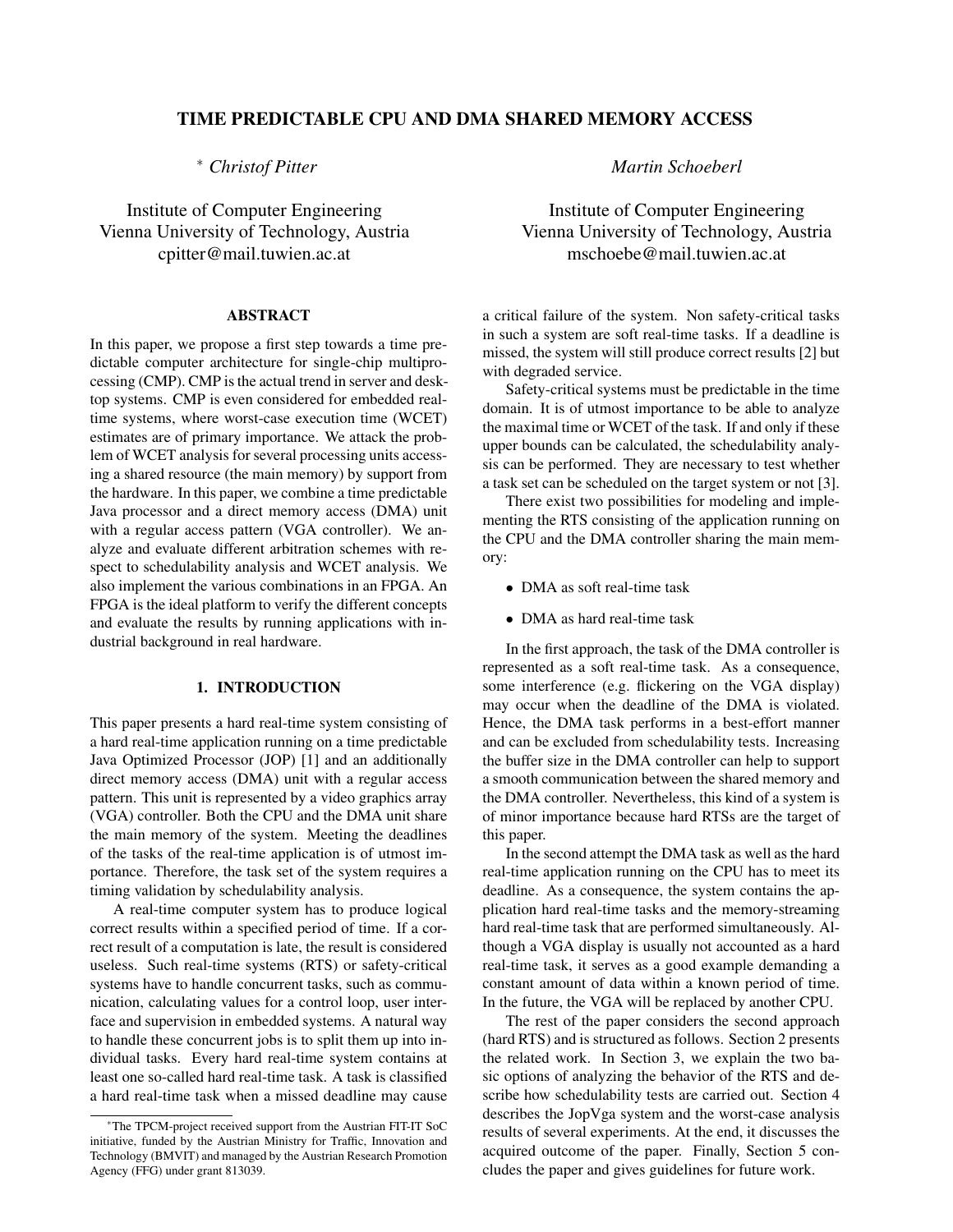# TIME PREDICTABLE CPU AND DMA SHARED MEMORY ACCESS

<sup>∗</sup> *Christof Pitter*

Institute of Computer Engineering Vienna University of Technology, Austria cpitter@mail.tuwien.ac.at

# ABSTRACT

In this paper, we propose a first step towards a time predictable computer architecture for single-chip multiprocessing (CMP). CMP is the actual trend in server and desktop systems. CMP is even considered for embedded realtime systems, where worst-case execution time (WCET) estimates are of primary importance. We attack the problem of WCET analysis for several processing units accessing a shared resource (the main memory) by support from the hardware. In this paper, we combine a time predictable Java processor and a direct memory access (DMA) unit with a regular access pattern (VGA controller). We analyze and evaluate different arbitration schemes with respect to schedulability analysis and WCET analysis. We also implement the various combinations in an FPGA. An FPGA is the ideal platform to verify the different concepts and evaluate the results by running applications with industrial background in real hardware.

# 1. INTRODUCTION

This paper presents a hard real-time system consisting of a hard real-time application running on a time predictable Java Optimized Processor (JOP) [1] and an additionally direct memory access (DMA) unit with a regular access pattern. This unit is represented by a video graphics array (VGA) controller. Both the CPU and the DMA unit share the main memory of the system. Meeting the deadlines of the tasks of the real-time application is of utmost importance. Therefore, the task set of the system requires a timing validation by schedulability analysis.

A real-time computer system has to produce logical correct results within a specified period of time. If a correct result of a computation is late, the result is considered useless. Such real-time systems (RTS) or safety-critical systems have to handle concurrent tasks, such as communication, calculating values for a control loop, user interface and supervision in embedded systems. A natural way to handle these concurrent jobs is to split them up into individual tasks. Every hard real-time system contains at least one so-called hard real-time task. A task is classified a hard real-time task when a missed deadline may cause *Martin Schoeberl*

Institute of Computer Engineering Vienna University of Technology, Austria mschoebe@mail.tuwien.ac.at

a critical failure of the system. Non safety-critical tasks in such a system are soft real-time tasks. If a deadline is missed, the system will still produce correct results [2] but with degraded service.

Safety-critical systems must be predictable in the time domain. It is of utmost importance to be able to analyze the maximal time or WCET of the task. If and only if these upper bounds can be calculated, the schedulability analysis can be performed. They are necessary to test whether a task set can be scheduled on the target system or not [3].

There exist two possibilities for modeling and implementing the RTS consisting of the application running on the CPU and the DMA controller sharing the main memory:

- DMA as soft real-time task
- DMA as hard real-time task

In the first approach, the task of the DMA controller is represented as a soft real-time task. As a consequence, some interference (e.g. flickering on the VGA display) may occur when the deadline of the DMA is violated. Hence, the DMA task performs in a best-effort manner and can be excluded from schedulability tests. Increasing the buffer size in the DMA controller can help to support a smooth communication between the shared memory and the DMA controller. Nevertheless, this kind of a system is of minor importance because hard RTSs are the target of this paper.

In the second attempt the DMA task as well as the hard real-time application running on the CPU has to meet its deadline. As a consequence, the system contains the application hard real-time tasks and the memory-streaming hard real-time task that are performed simultaneously. Although a VGA display is usually not accounted as a hard real-time task, it serves as a good example demanding a constant amount of data within a known period of time. In the future, the VGA will be replaced by another CPU.

The rest of the paper considers the second approach (hard RTS) and is structured as follows. Section 2 presents the related work. In Section 3, we explain the two basic options of analyzing the behavior of the RTS and describe how schedulability tests are carried out. Section 4 describes the JopVga system and the worst-case analysis results of several experiments. At the end, it discusses the acquired outcome of the paper. Finally, Section 5 concludes the paper and gives guidelines for future work.

<sup>∗</sup>The TPCM-project received support from the Austrian FIT-IT SoC initiative, funded by the Austrian Ministry for Traffic, Innovation and Technology (BMVIT) and managed by the Austrian Research Promotion Agency (FFG) under grant 813039.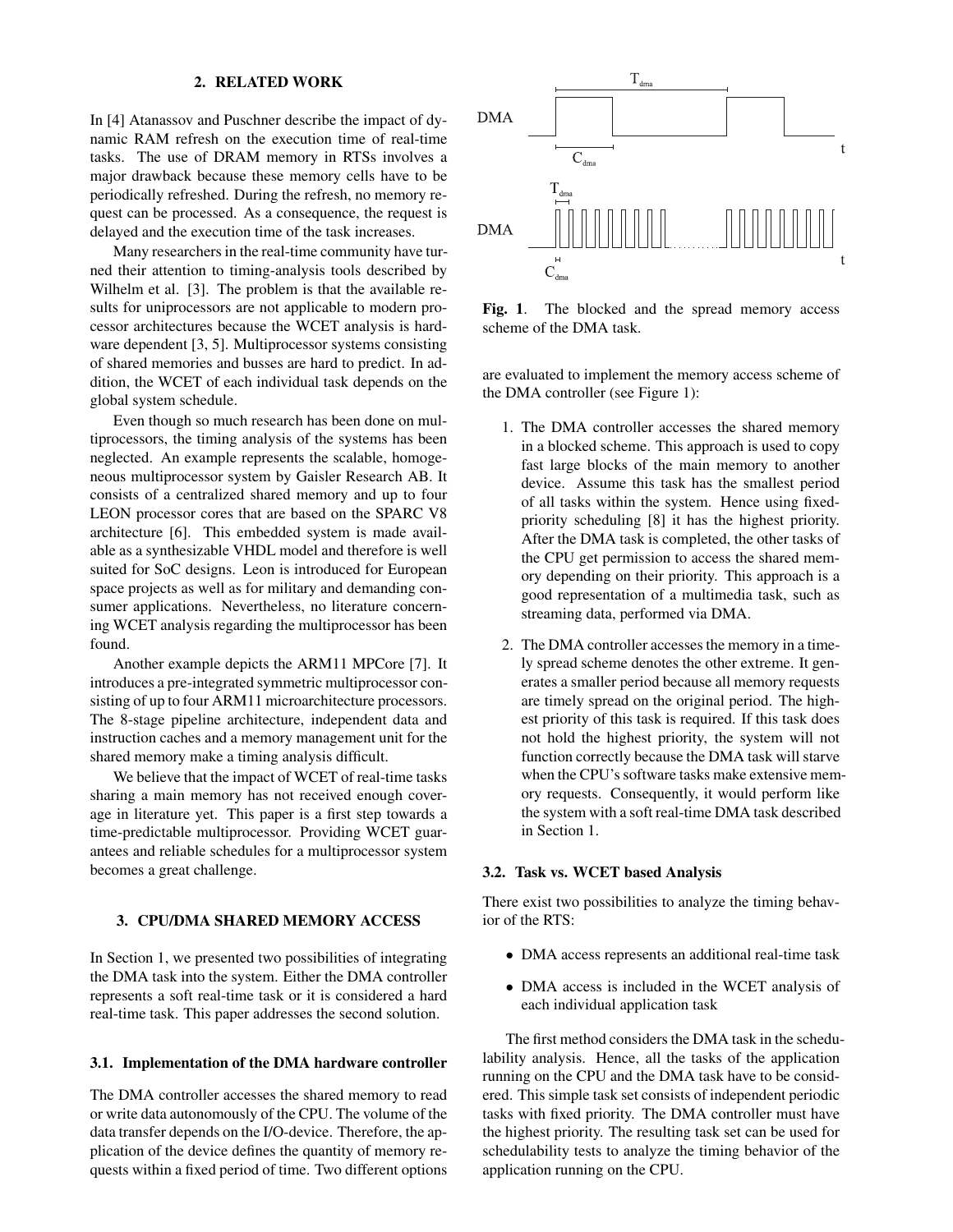## 2. RELATED WORK

In [4] Atanassov and Puschner describe the impact of dynamic RAM refresh on the execution time of real-time tasks. The use of DRAM memory in RTSs involves a major drawback because these memory cells have to be periodically refreshed. During the refresh, no memory request can be processed. As a consequence, the request is delayed and the execution time of the task increases.

Many researchers in the real-time community have turned their attention to timing-analysis tools described by Wilhelm et al. [3]. The problem is that the available results for uniprocessors are not applicable to modern processor architectures because the WCET analysis is hardware dependent [3, 5]. Multiprocessor systems consisting of shared memories and busses are hard to predict. In addition, the WCET of each individual task depends on the global system schedule.

Even though so much research has been done on multiprocessors, the timing analysis of the systems has been neglected. An example represents the scalable, homogeneous multiprocessor system by Gaisler Research AB. It consists of a centralized shared memory and up to four LEON processor cores that are based on the SPARC V8 architecture [6]. This embedded system is made available as a synthesizable VHDL model and therefore is well suited for SoC designs. Leon is introduced for European space projects as well as for military and demanding consumer applications. Nevertheless, no literature concerning WCET analysis regarding the multiprocessor has been found.

Another example depicts the ARM11 MPCore [7]. It introduces a pre-integrated symmetric multiprocessor consisting of up to four ARM11 microarchitecture processors. The 8-stage pipeline architecture, independent data and instruction caches and a memory management unit for the shared memory make a timing analysis difficult.

We believe that the impact of WCET of real-time tasks sharing a main memory has not received enough coverage in literature yet. This paper is a first step towards a time-predictable multiprocessor. Providing WCET guarantees and reliable schedules for a multiprocessor system becomes a great challenge.

### 3. CPU/DMA SHARED MEMORY ACCESS

In Section 1, we presented two possibilities of integrating the DMA task into the system. Either the DMA controller represents a soft real-time task or it is considered a hard real-time task. This paper addresses the second solution.

#### 3.1. Implementation of the DMA hardware controller

The DMA controller accesses the shared memory to read or write data autonomously of the CPU. The volume of the data transfer depends on the I/O-device. Therefore, the application of the device defines the quantity of memory requests within a fixed period of time. Two different options



Fig. 1. The blocked and the spread memory access scheme of the DMA task.

are evaluated to implement the memory access scheme of the DMA controller (see Figure 1):

- 1. The DMA controller accesses the shared memory in a blocked scheme. This approach is used to copy fast large blocks of the main memory to another device. Assume this task has the smallest period of all tasks within the system. Hence using fixedpriority scheduling [8] it has the highest priority. After the DMA task is completed, the other tasks of the CPU get permission to access the shared memory depending on their priority. This approach is a good representation of a multimedia task, such as streaming data, performed via DMA.
- 2. The DMA controller accesses the memory in a timely spread scheme denotes the other extreme. It generates a smaller period because all memory requests are timely spread on the original period. The highest priority of this task is required. If this task does not hold the highest priority, the system will not function correctly because the DMA task will starve when the CPU's software tasks make extensive memory requests. Consequently, it would perform like the system with a soft real-time DMA task described in Section 1.

# 3.2. Task vs. WCET based Analysis

There exist two possibilities to analyze the timing behavior of the RTS:

- DMA access represents an additional real-time task
- DMA access is included in the WCET analysis of each individual application task

The first method considers the DMA task in the schedulability analysis. Hence, all the tasks of the application running on the CPU and the DMA task have to be considered. This simple task set consists of independent periodic tasks with fixed priority. The DMA controller must have the highest priority. The resulting task set can be used for schedulability tests to analyze the timing behavior of the application running on the CPU.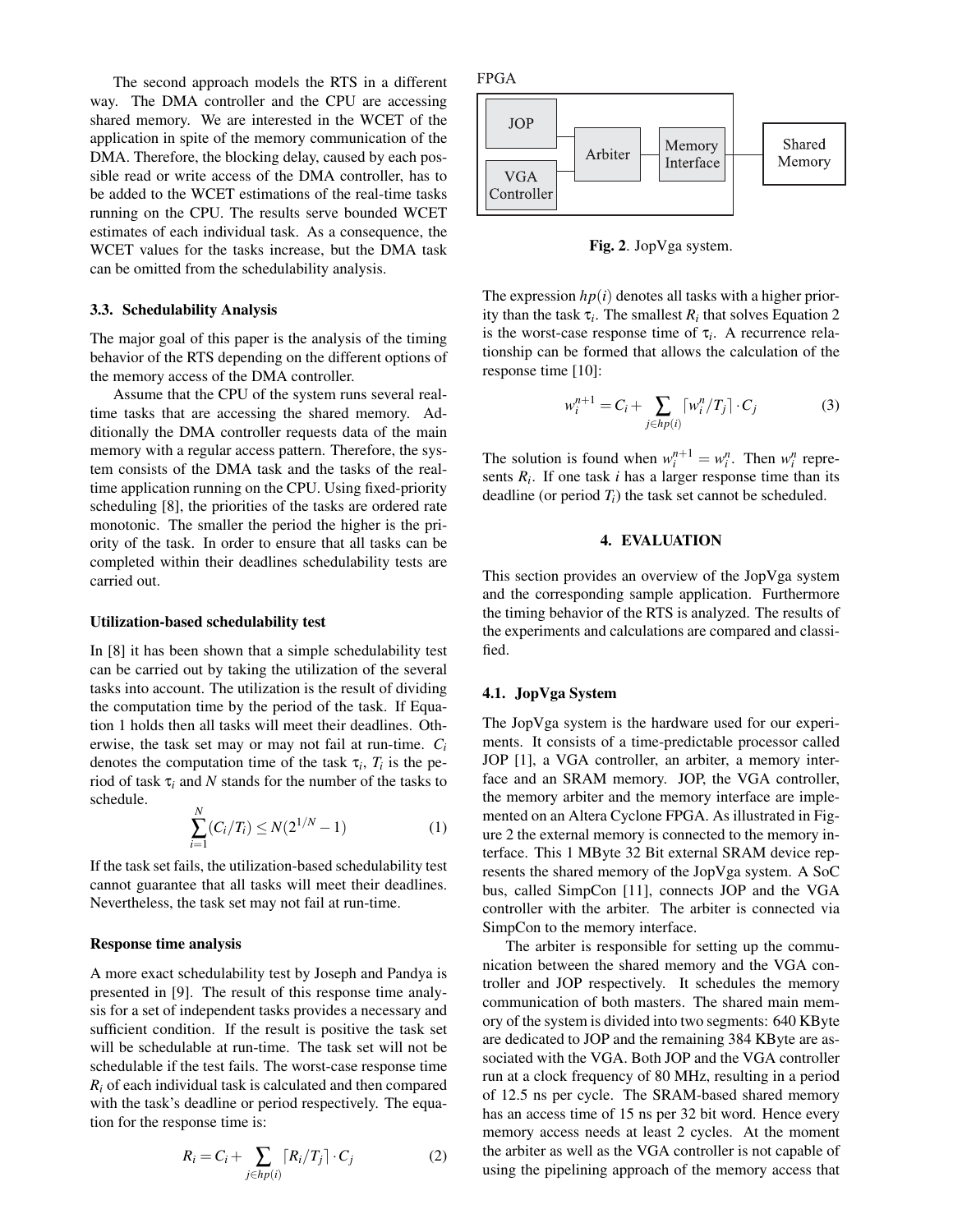The second approach models the RTS in a different way. The DMA controller and the CPU are accessing shared memory. We are interested in the WCET of the application in spite of the memory communication of the DMA. Therefore, the blocking delay, caused by each possible read or write access of the DMA controller, has to be added to the WCET estimations of the real-time tasks running on the CPU. The results serve bounded WCET estimates of each individual task. As a consequence, the WCET values for the tasks increase, but the DMA task can be omitted from the schedulability analysis.

### 3.3. Schedulability Analysis

The major goal of this paper is the analysis of the timing behavior of the RTS depending on the different options of the memory access of the DMA controller.

Assume that the CPU of the system runs several realtime tasks that are accessing the shared memory. Additionally the DMA controller requests data of the main memory with a regular access pattern. Therefore, the system consists of the DMA task and the tasks of the realtime application running on the CPU. Using fixed-priority scheduling [8], the priorities of the tasks are ordered rate monotonic. The smaller the period the higher is the priority of the task. In order to ensure that all tasks can be completed within their deadlines schedulability tests are carried out.

#### Utilization-based schedulability test

In [8] it has been shown that a simple schedulability test can be carried out by taking the utilization of the several tasks into account. The utilization is the result of dividing the computation time by the period of the task. If Equation 1 holds then all tasks will meet their deadlines. Otherwise, the task set may or may not fail at run-time. *C<sup>i</sup>* denotes the computation time of the task  $\tau_i$ ,  $T_i$  is the period of task  $\tau$ *i* and *N* stands for the number of the tasks to schedule.

$$
\sum_{i=1}^{N} (C_i/T_i) \le N(2^{1/N} - 1)
$$
 (1)

If the task set fails, the utilization-based schedulability test cannot guarantee that all tasks will meet their deadlines. Nevertheless, the task set may not fail at run-time.

#### Response time analysis

A more exact schedulability test by Joseph and Pandya is presented in [9]. The result of this response time analysis for a set of independent tasks provides a necessary and sufficient condition. If the result is positive the task set will be schedulable at run-time. The task set will not be schedulable if the test fails. The worst-case response time  $R_i$  of each individual task is calculated and then compared with the task's deadline or period respectively. The equation for the response time is:

$$
R_i = C_i + \sum_{j \in hp(i)} [R_i/T_j] \cdot C_j \tag{2}
$$



Fig. 2. JopVga system.

The expression  $hp(i)$  denotes all tasks with a higher priority than the task  $\tau_i$ . The smallest  $R_i$  that solves Equation 2 is the worst-case response time of  $\tau_i$ . A recurrence relationship can be formed that allows the calculation of the response time [10]:

$$
w_i^{n+1} = C_i + \sum_{j \in hp(i)} \left[ w_i^n / T_j \right] \cdot C_j \tag{3}
$$

The solution is found when  $w_i^{n+1} = w_i^n$ . Then  $w_i^n$  represents  $R_i$ . If one task  $i$  has a larger response time than its deadline (or period  $T_i$ ) the task set cannot be scheduled.

### 4. EVALUATION

This section provides an overview of the JopVga system and the corresponding sample application. Furthermore the timing behavior of the RTS is analyzed. The results of the experiments and calculations are compared and classified.

### 4.1. JopVga System

The JopVga system is the hardware used for our experiments. It consists of a time-predictable processor called JOP [1], a VGA controller, an arbiter, a memory interface and an SRAM memory. JOP, the VGA controller, the memory arbiter and the memory interface are implemented on an Altera Cyclone FPGA. As illustrated in Figure 2 the external memory is connected to the memory interface. This 1 MByte 32 Bit external SRAM device represents the shared memory of the JopVga system. A SoC bus, called SimpCon [11], connects JOP and the VGA controller with the arbiter. The arbiter is connected via SimpCon to the memory interface.

The arbiter is responsible for setting up the communication between the shared memory and the VGA controller and JOP respectively. It schedules the memory communication of both masters. The shared main memory of the system is divided into two segments: 640 KByte are dedicated to JOP and the remaining 384 KByte are associated with the VGA. Both JOP and the VGA controller run at a clock frequency of 80 MHz, resulting in a period of 12.5 ns per cycle. The SRAM-based shared memory has an access time of 15 ns per 32 bit word. Hence every memory access needs at least 2 cycles. At the moment the arbiter as well as the VGA controller is not capable of using the pipelining approach of the memory access that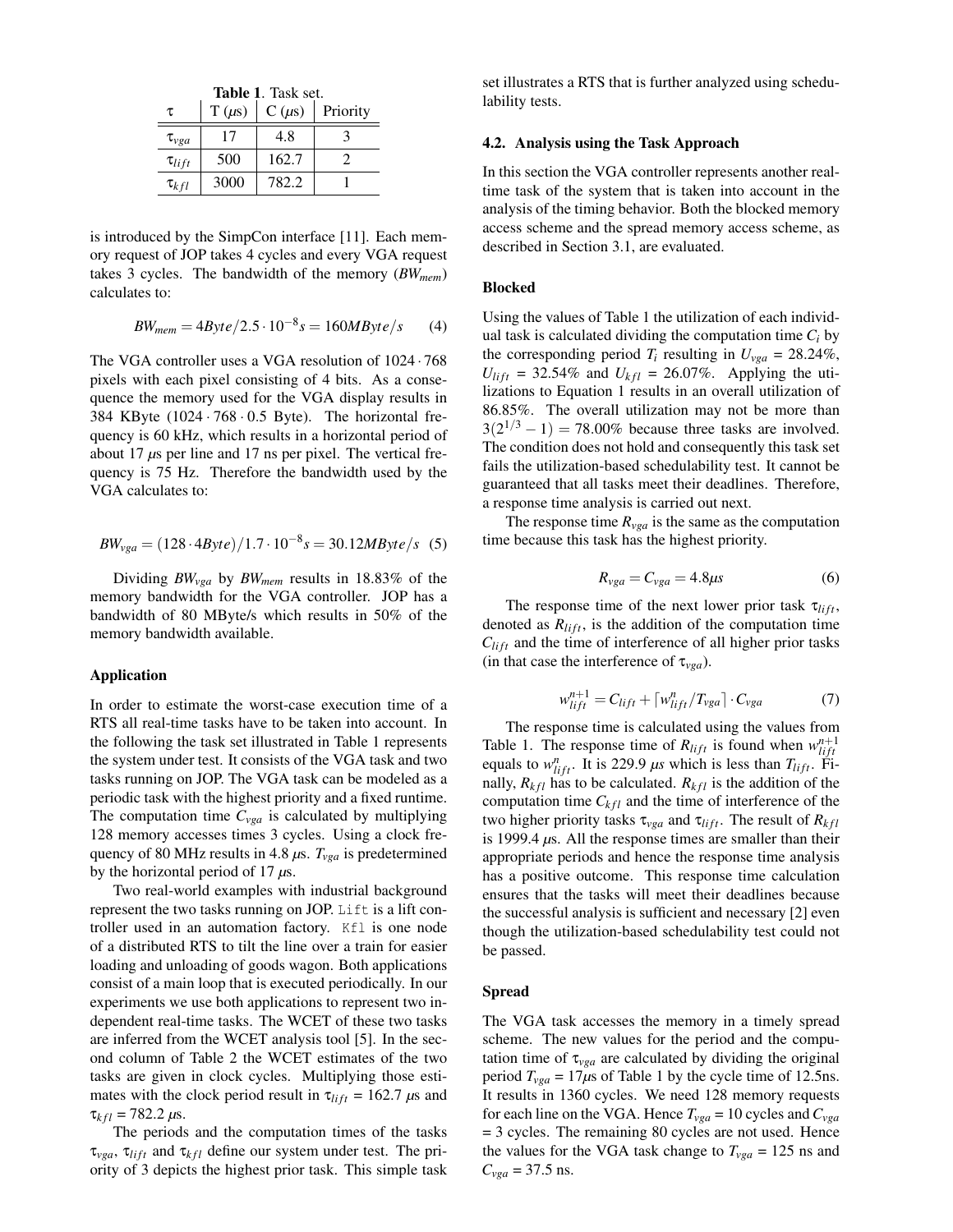| <b>Table 1.</b> Task set. |            |            |          |  |
|---------------------------|------------|------------|----------|--|
| τ                         | $T(\mu s)$ | $C(\mu s)$ | Priority |  |
| $\tau_{vga}$              | 17         | 4.8        |          |  |
| $\tau_{lift}$             | 500        | 162.7      | 2        |  |
| $\tau_{kfl}$              | 3000       | 782.2      |          |  |

is introduced by the SimpCon interface [11]. Each memory request of JOP takes 4 cycles and every VGA request takes 3 cycles. The bandwidth of the memory (*BWmem*) calculates to:

$$
BW_{mem} = 4Byte/2.5 \cdot 10^{-8} s = 160 MByte/s \tag{4}
$$

The VGA controller uses a VGA resolution of 1024 · 768 pixels with each pixel consisting of 4 bits. As a consequence the memory used for the VGA display results in 384 KByte  $(1024 \cdot 768 \cdot 0.5$  Byte). The horizontal frequency is 60 kHz, which results in a horizontal period of about 17 *µ*s per line and 17 ns per pixel. The vertical frequency is 75 Hz. Therefore the bandwidth used by the VGA calculates to:

$$
BW_{vga} = (128 \cdot 4Byte)/1.7 \cdot 10^{-8}s = 30.12MByte/s
$$
 (5)

Dividing *BWvga* by *BWmem* results in 18.83% of the memory bandwidth for the VGA controller. JOP has a bandwidth of 80 MByte/s which results in 50% of the memory bandwidth available.

# Application

In order to estimate the worst-case execution time of a RTS all real-time tasks have to be taken into account. In the following the task set illustrated in Table 1 represents the system under test. It consists of the VGA task and two tasks running on JOP. The VGA task can be modeled as a periodic task with the highest priority and a fixed runtime. The computation time *Cvga* is calculated by multiplying 128 memory accesses times 3 cycles. Using a clock frequency of 80 MHz results in 4.8  $\mu$ s.  $T_{vga}$  is predetermined by the horizontal period of 17 *µ*s.

Two real-world examples with industrial background represent the two tasks running on JOP. Lift is a lift controller used in an automation factory. Kfl is one node of a distributed RTS to tilt the line over a train for easier loading and unloading of goods wagon. Both applications consist of a main loop that is executed periodically. In our experiments we use both applications to represent two independent real-time tasks. The WCET of these two tasks are inferred from the WCET analysis tool [5]. In the second column of Table 2 the WCET estimates of the two tasks are given in clock cycles. Multiplying those estimates with the clock period result in  $\tau_{lift} = 162.7 \ \mu s$  and  $\tau_{kfl} = 782.2 \,\mu s.$ 

The periods and the computation times of the tasks  $\tau_{vea}$ ,  $\tau_{lift}$  and  $\tau_{kfl}$  define our system under test. The priority of 3 depicts the highest prior task. This simple task set illustrates a RTS that is further analyzed using schedulability tests.

## 4.2. Analysis using the Task Approach

In this section the VGA controller represents another realtime task of the system that is taken into account in the analysis of the timing behavior. Both the blocked memory access scheme and the spread memory access scheme, as described in Section 3.1, are evaluated.

#### Blocked

Using the values of Table 1 the utilization of each individual task is calculated dividing the computation time  $C_i$  by the corresponding period  $T_i$  resulting in  $U_{vga} = 28.24\%$ ,  $U_{lift} = 32.54\%$  and  $U_{kfl} = 26.07\%$ . Applying the utilizations to Equation 1 results in an overall utilization of 86.85%. The overall utilization may not be more than  $3(2^{1/3} - 1) = 78.00\%$  because three tasks are involved. The condition does not hold and consequently this task set fails the utilization-based schedulability test. It cannot be guaranteed that all tasks meet their deadlines. Therefore, a response time analysis is carried out next.

The response time  $R_{\nu ga}$  is the same as the computation time because this task has the highest priority.

$$
R_{vga} = C_{vga} = 4.8 \mu s \tag{6}
$$

The response time of the next lower prior task  $\tau_{lift}$ , denoted as  $R_{lift}$ , is the addition of the computation time  $C_{lift}$  and the time of interference of all higher prior tasks (in that case the interference of  $\tau_{vga}$ ).

$$
w_{lift}^{n+1} = C_{lift} + \lceil w_{lift}^{n} / T_{vga} \rceil \cdot C_{vga} \tag{7}
$$

The response time is calculated using the values from Table 1. The response time of  $R_{lift}$  is found when  $w_{lift}^{n+1}$ equals to  $w_{lift}^n$ . It is 229.9  $\mu s$  which is less than  $T_{lift}$ . Finally,  $R_{kfl}$  has to be calculated.  $R_{kfl}$  is the addition of the computation time  $C_{kfl}$  and the time of interference of the two higher priority tasks  $\tau_{vga}$  and  $\tau_{lift}$ . The result of  $R_{kfl}$ is 1999.4 *µ*s. All the response times are smaller than their appropriate periods and hence the response time analysis has a positive outcome. This response time calculation ensures that the tasks will meet their deadlines because the successful analysis is sufficient and necessary [2] even though the utilization-based schedulability test could not be passed.

#### Spread

The VGA task accesses the memory in a timely spread scheme. The new values for the period and the computation time of  $\tau_{vga}$  are calculated by dividing the original period  $T_{\nu ga} = 17 \mu s$  of Table 1 by the cycle time of 12.5ns. It results in 1360 cycles. We need 128 memory requests for each line on the VGA. Hence  $T_{vga} = 10$  cycles and  $C_{vga}$ = 3 cycles. The remaining 80 cycles are not used. Hence the values for the VGA task change to  $T_{vga} = 125$  ns and  $C_{vga} = 37.5$  ns.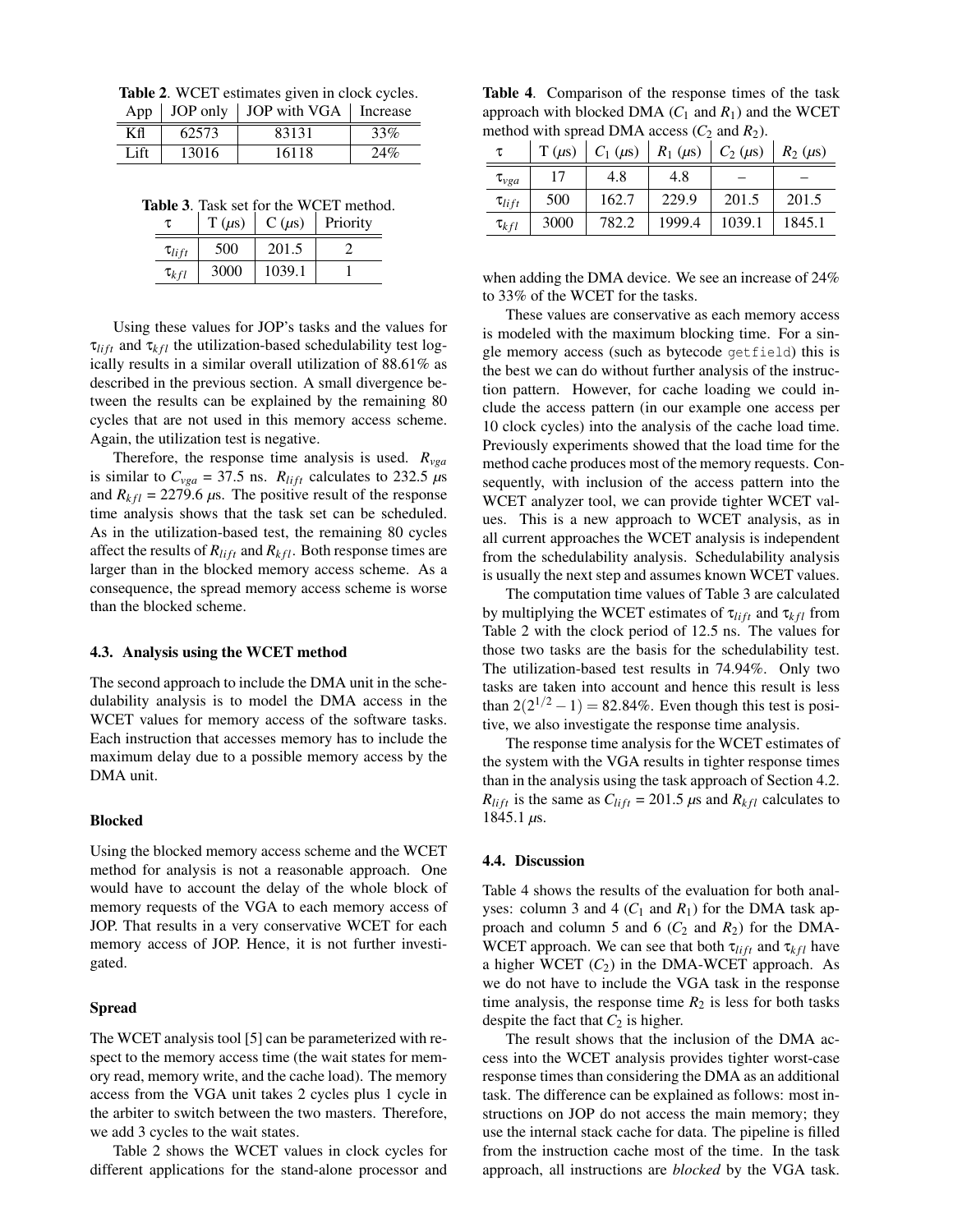Table 2. WCET estimates given in clock cycles. App  $\vert$  JOP only  $\vert$  JOP with VGA  $\vert$  Increase

|      |       | $\Delta p$   JOI 01119   JOI WHII VOI   INCREASE |     |
|------|-------|--------------------------------------------------|-----|
| Кfl  | 62573 | 83131                                            | 33% |
| Lift | 13016 | 16118                                            |     |

Table 3. Task set for the WCET method.

| τ             | $T(\mu s)$ | $C(\mu s)$ | Priority |
|---------------|------------|------------|----------|
| $\tau_{lift}$ | 500        | 201.5      |          |
| $\tau_{kfl}$  | 3000       | 1039.1     |          |

Using these values for JOP's tasks and the values for  $\tau_{lift}$  and  $\tau_{kfl}$  the utilization-based schedulability test logically results in a similar overall utilization of 88.61% as described in the previous section. A small divergence between the results can be explained by the remaining 80 cycles that are not used in this memory access scheme. Again, the utilization test is negative.

Therefore, the response time analysis is used.  $R_{vga}$ is similar to  $C_{vga} = 37.5$  ns.  $R_{lift}$  calculates to 232.5  $\mu$ s and  $R_{kfl}$  = 2279.6  $\mu$ s. The positive result of the response time analysis shows that the task set can be scheduled. As in the utilization-based test, the remaining 80 cycles affect the results of  $R_{lift}$  and  $R_{kfl}$ . Both response times are larger than in the blocked memory access scheme. As a consequence, the spread memory access scheme is worse than the blocked scheme.

### 4.3. Analysis using the WCET method

The second approach to include the DMA unit in the schedulability analysis is to model the DMA access in the WCET values for memory access of the software tasks. Each instruction that accesses memory has to include the maximum delay due to a possible memory access by the DMA unit.

# Blocked

Using the blocked memory access scheme and the WCET method for analysis is not a reasonable approach. One would have to account the delay of the whole block of memory requests of the VGA to each memory access of JOP. That results in a very conservative WCET for each memory access of JOP. Hence, it is not further investigated.

#### Spread

The WCET analysis tool [5] can be parameterized with respect to the memory access time (the wait states for memory read, memory write, and the cache load). The memory access from the VGA unit takes 2 cycles plus 1 cycle in the arbiter to switch between the two masters. Therefore, we add 3 cycles to the wait states.

Table 2 shows the WCET values in clock cycles for different applications for the stand-alone processor and

Table 4. Comparison of the response times of the task approach with blocked DMA  $(C_1$  and  $R_1$ ) and the WCET method with spread DMA access  $(C_2$  and  $R_2$ ).

|               | $T(\mu s)$ | $C_1(\mu s)$ |        | $R_1 (\mu s)   C_2 (\mu s)$ | $R_2$ ( $\mu$ s) |
|---------------|------------|--------------|--------|-----------------------------|------------------|
| $\tau_{vga}$  | 17         | 4.8          | 4.8    |                             |                  |
| $\tau_{lift}$ | 500        | 162.7        | 229.9  | 201.5                       | 201.5            |
| $\tau_{kfl}$  | 3000       | 782.2        | 1999.4 | 1039.1                      | 1845.1           |

when adding the DMA device. We see an increase of 24% to 33% of the WCET for the tasks.

These values are conservative as each memory access is modeled with the maximum blocking time. For a single memory access (such as bytecode getfield) this is the best we can do without further analysis of the instruction pattern. However, for cache loading we could include the access pattern (in our example one access per 10 clock cycles) into the analysis of the cache load time. Previously experiments showed that the load time for the method cache produces most of the memory requests. Consequently, with inclusion of the access pattern into the WCET analyzer tool, we can provide tighter WCET values. This is a new approach to WCET analysis, as in all current approaches the WCET analysis is independent from the schedulability analysis. Schedulability analysis is usually the next step and assumes known WCET values.

The computation time values of Table 3 are calculated by multiplying the WCET estimates of  $\tau_{lift}$  and  $\tau_{kfl}$  from Table 2 with the clock period of 12.5 ns. The values for those two tasks are the basis for the schedulability test. The utilization-based test results in 74.94%. Only two tasks are taken into account and hence this result is less than  $2(2^{1/2} - 1) = 82.84\%$ . Even though this test is positive, we also investigate the response time analysis.

The response time analysis for the WCET estimates of the system with the VGA results in tighter response times than in the analysis using the task approach of Section 4.2.  $R_{lift}$  is the same as  $C_{lift} = 201.5 \,\mu s$  and  $R_{kfl}$  calculates to 1845.1 *µ*s.

#### 4.4. Discussion

Table 4 shows the results of the evaluation for both analyses: column 3 and 4  $(C_1$  and  $R_1$ ) for the DMA task approach and column 5 and 6  $(C_2$  and  $R_2$ ) for the DMA-WCET approach. We can see that both  $\tau_{lift}$  and  $\tau_{kfl}$  have a higher WCET  $(C_2)$  in the DMA-WCET approach. As we do not have to include the VGA task in the response time analysis, the response time  $R_2$  is less for both tasks despite the fact that  $C_2$  is higher.

The result shows that the inclusion of the DMA access into the WCET analysis provides tighter worst-case response times than considering the DMA as an additional task. The difference can be explained as follows: most instructions on JOP do not access the main memory; they use the internal stack cache for data. The pipeline is filled from the instruction cache most of the time. In the task approach, all instructions are *blocked* by the VGA task.